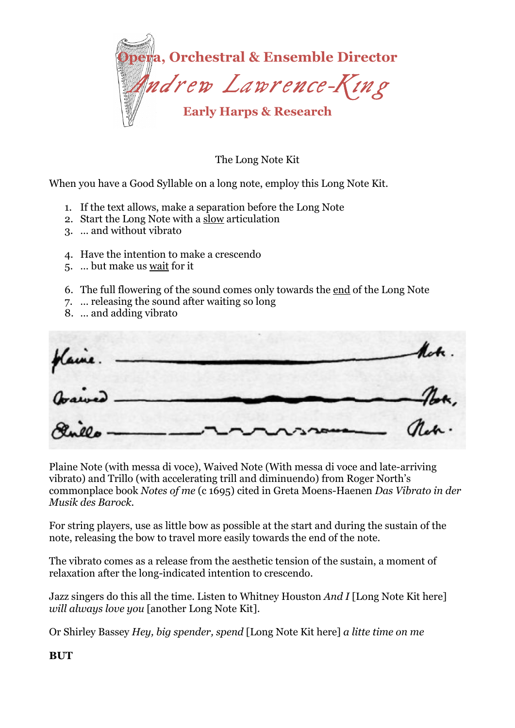

The Long Note Kit

When you have a Good Syllable on a long note, employ this Long Note Kit.

- 1. If the text allows, make a separation before the Long Note
- 2. Start the Long Note with a slow articulation
- 3. … and without vibrato
- 4. Have the intention to make a crescendo
- 5. … but make us wait for it
- 6. The full flowering of the sound comes only towards the end of the Long Note
- 7. … releasing the sound after waiting so long
- 8. … and adding vibrato

 $n$ .

Plaine Note (with messa di voce), Waived Note (With messa di voce and late-arriving vibrato) and Trillo (with accelerating trill and diminuendo) from Roger North's commonplace book *Notes of me* (c 1695) cited in Greta Moens-Haenen *Das Vibrato in der Musik des Barock.* 

For string players, use as little bow as possible at the start and during the sustain of the note, releasing the bow to travel more easily towards the end of the note.

The vibrato comes as a release from the aesthetic tension of the sustain, a moment of relaxation after the long-indicated intention to crescendo.

Jazz singers do this all the time. Listen to Whitney Houston *And I* [Long Note Kit here] *will always love you* [another Long Note Kit].

Or Shirley Bassey *Hey, big spender, spend* [Long Note Kit here] *a litte time on me* 

## **BUT**